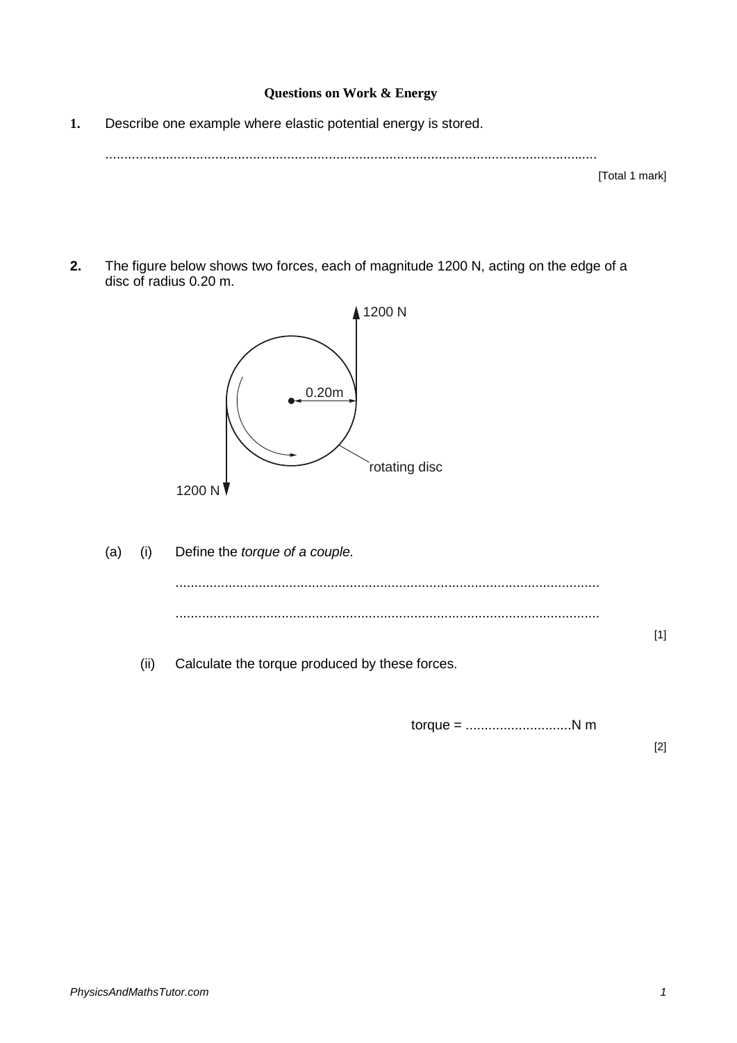## **Questions on Work & Energy**

**1.** Describe one example where elastic potential energy is stored.

..................................................................................................................................

[Total 1 mark]

**2.** The figure below shows two forces, each of magnitude 1200 N, acting on the edge of a disc of radius 0.20 m.



(a) (i) Define the *torque of a couple.* ................................................................................................................ ................................................................................................................ [1] (ii) Calculate the torque produced by these forces.

torque = ............................N m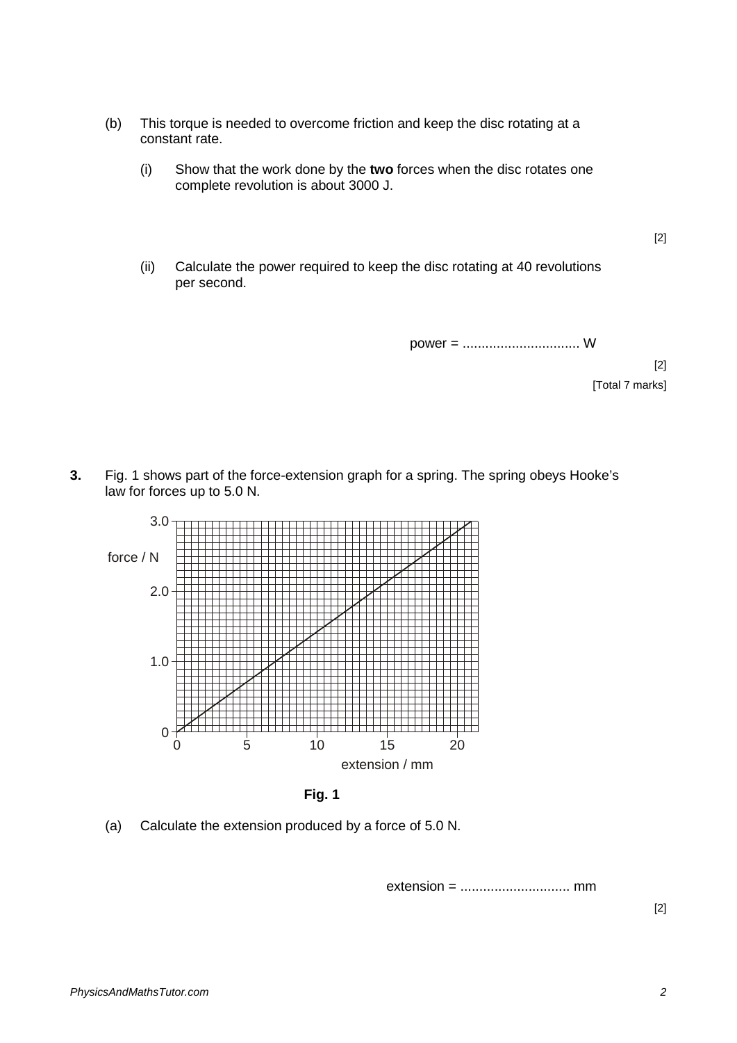- (b) This torque is needed to overcome friction and keep the disc rotating at a constant rate.
	- (i) Show that the work done by the **two** forces when the disc rotates one complete revolution is about 3000 J.
	- (ii) Calculate the power required to keep the disc rotating at 40 revolutions per second.

power = ............................... W

[2] [Total 7 marks]

[2]

**3.** Fig. 1 shows part of the force-extension graph for a spring. The spring obeys Hooke's law for forces up to 5.0 N.



**Fig. 1**

(a) Calculate the extension produced by a force of 5.0 N.

extension = ............................. mm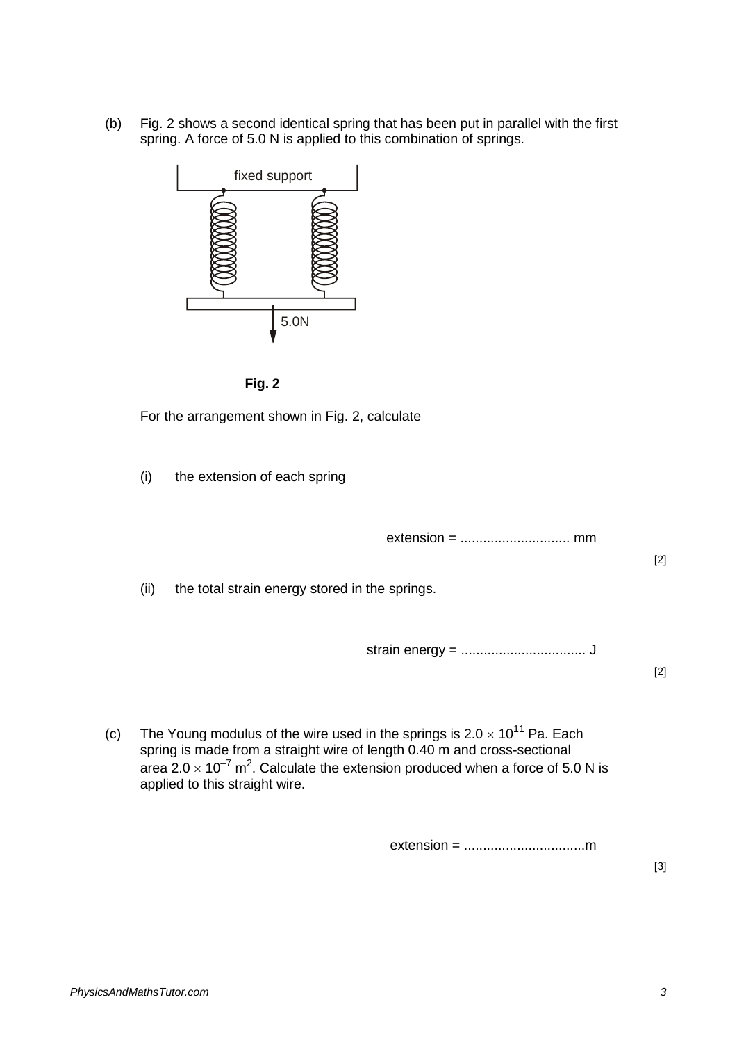(b) Fig. 2 shows a second identical spring that has been put in parallel with the first spring. A force of 5.0 N is applied to this combination of springs.





For the arrangement shown in Fig. 2, calculate

(i) the extension of each spring

extension = ............................. mm

[2]

(ii) the total strain energy stored in the springs.

strain energy = ................................. J

[2]

(c) The Young modulus of the wire used in the springs is  $2.0 \times 10^{11}$  Pa. Each spring is made from a straight wire of length 0.40 m and cross-sectional area 2.0  $\times$  10<sup>-7</sup> m<sup>2</sup>. Calculate the extension produced when a force of 5.0 N is applied to this straight wire.

extension = ................................m

[3]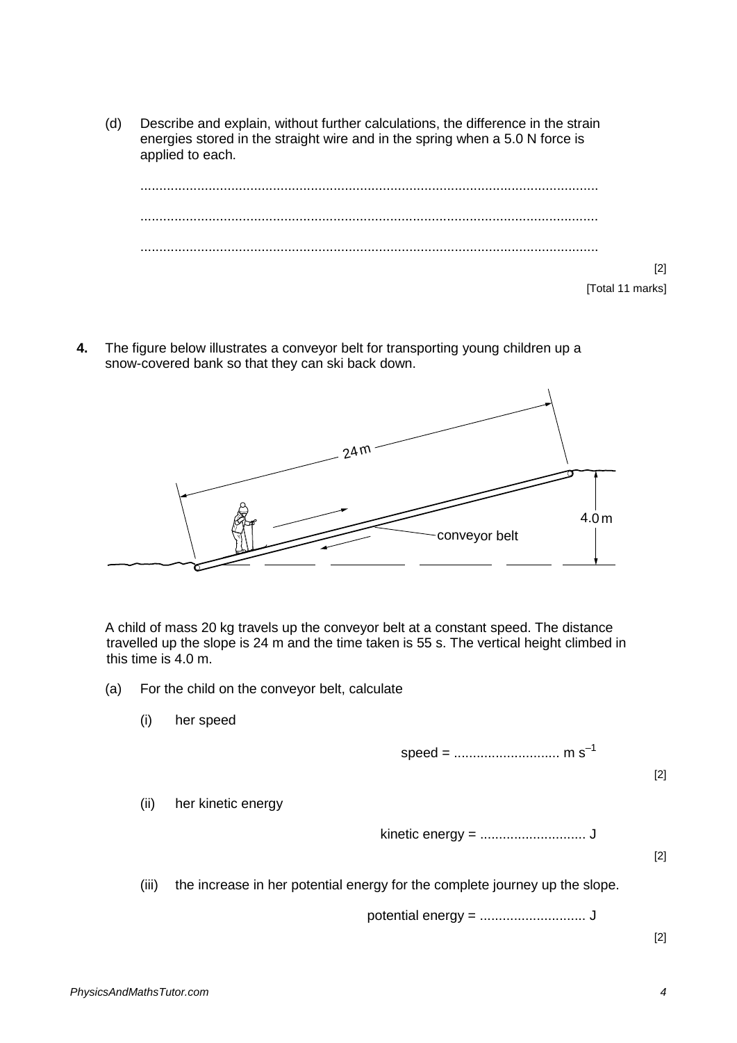(d) Describe and explain, without further calculations, the difference in the strain energies stored in the straight wire and in the spring when a 5.0 N force is applied to each.



**4.** The figure below illustrates a conveyor belt for transporting young children up a snow-covered bank so that they can ski back down.



A child of mass 20 kg travels up the conveyor belt at a constant speed. The distance travelled up the slope is 24 m and the time taken is 55 s. The vertical height climbed in this time is 4.0 m.

- (a) For the child on the conveyor belt, calculate
	- (i) her speed

speed = ............................ m s–1

[2]

(ii) her kinetic energy

kinetic energy = ............................ J

[2]

(iii) the increase in her potential energy for the complete journey up the slope.

potential energy = ............................ J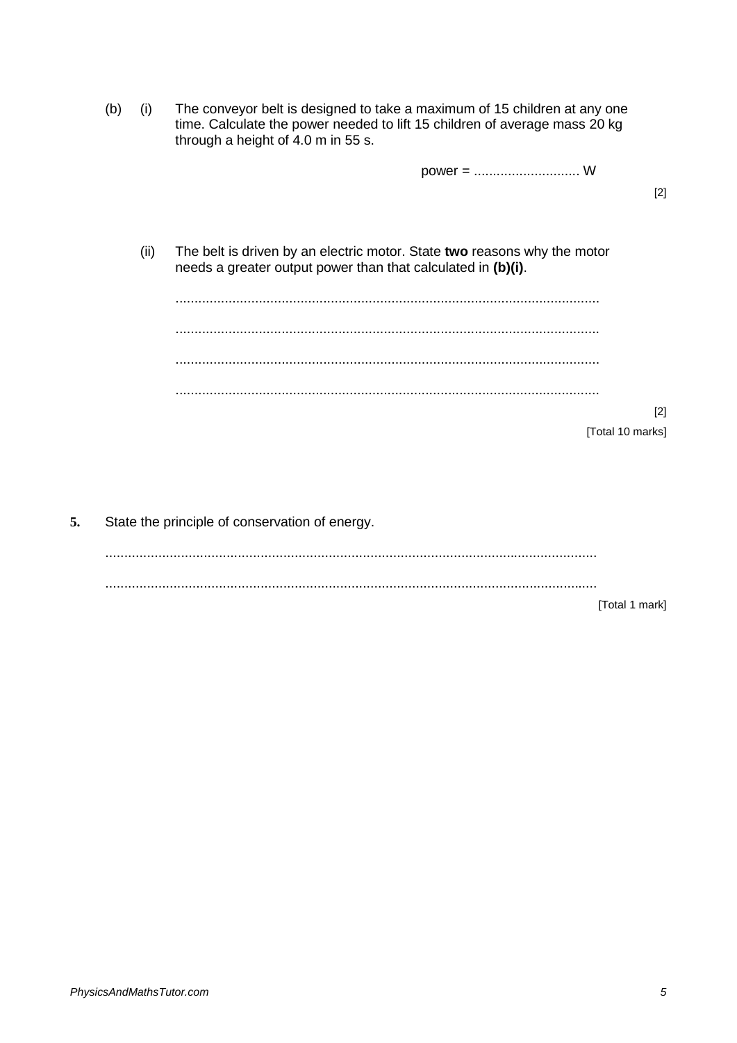|    | (b)                                            | (i)  | The conveyor belt is designed to take a maximum of 15 children at any one<br>time. Calculate the power needed to lift 15 children of average mass 20 kg<br>through a height of 4.0 m in 55 s. |       |
|----|------------------------------------------------|------|-----------------------------------------------------------------------------------------------------------------------------------------------------------------------------------------------|-------|
|    |                                                |      |                                                                                                                                                                                               |       |
|    |                                                |      |                                                                                                                                                                                               | $[2]$ |
|    |                                                | (ii) | The belt is driven by an electric motor. State two reasons why the motor<br>needs a greater output power than that calculated in (b)(i).                                                      |       |
|    |                                                |      |                                                                                                                                                                                               |       |
|    |                                                |      |                                                                                                                                                                                               |       |
|    |                                                |      |                                                                                                                                                                                               |       |
|    |                                                |      |                                                                                                                                                                                               | $[2]$ |
|    |                                                |      | [Total 10 marks]                                                                                                                                                                              |       |
|    |                                                |      |                                                                                                                                                                                               |       |
|    |                                                |      |                                                                                                                                                                                               |       |
| 5. | State the principle of conservation of energy. |      |                                                                                                                                                                                               |       |
|    |                                                |      |                                                                                                                                                                                               |       |

..................................................................................................................................

[Total 1 mark]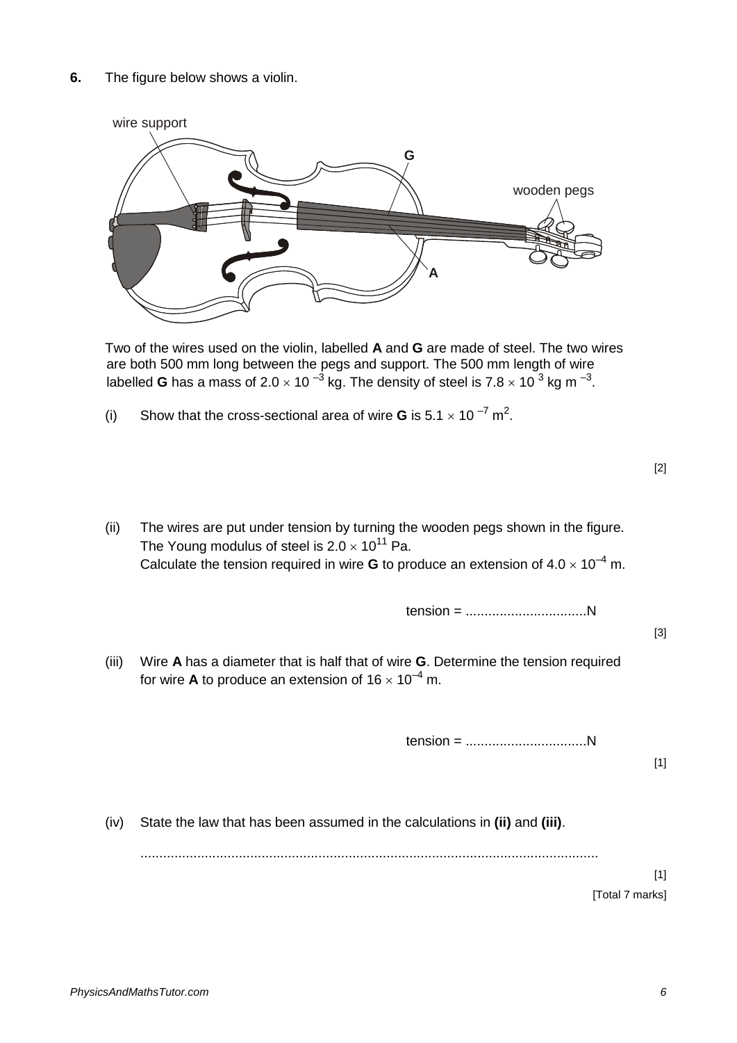

Two of the wires used on the violin, labelled **A** and **G** are made of steel. The two wires are both 500 mm long between the pegs and support. The 500 mm length of wire labelled **G** has a mass of 2.0  $\times$  10  $^{-3}$  kg. The density of steel is 7.8  $\times$  10  $^3$  kg m  $^{-3}$ .

(i) Show that the cross-sectional area of wire **G** is  $5.1 \times 10^{-7}$  m<sup>2</sup>.

(ii) The wires are put under tension by turning the wooden pegs shown in the figure. The Young modulus of steel is  $2.0 \times 10^{11}$  Pa. Calculate the tension required in wire **G** to produce an extension of  $4.0 \times 10^{-4}$  m.

tension = ................................N

[3]

[1]

(iii) Wire **A** has a diameter that is half that of wire **G**. Determine the tension required for wire **A** to produce an extension of  $16 \times 10^{-4}$  m.

tension = ................................N

(iv) State the law that has been assumed in the calculations in **(ii)** and **(iii)**.

.........................................................................................................................

 $[1]$ [Total 7 marks]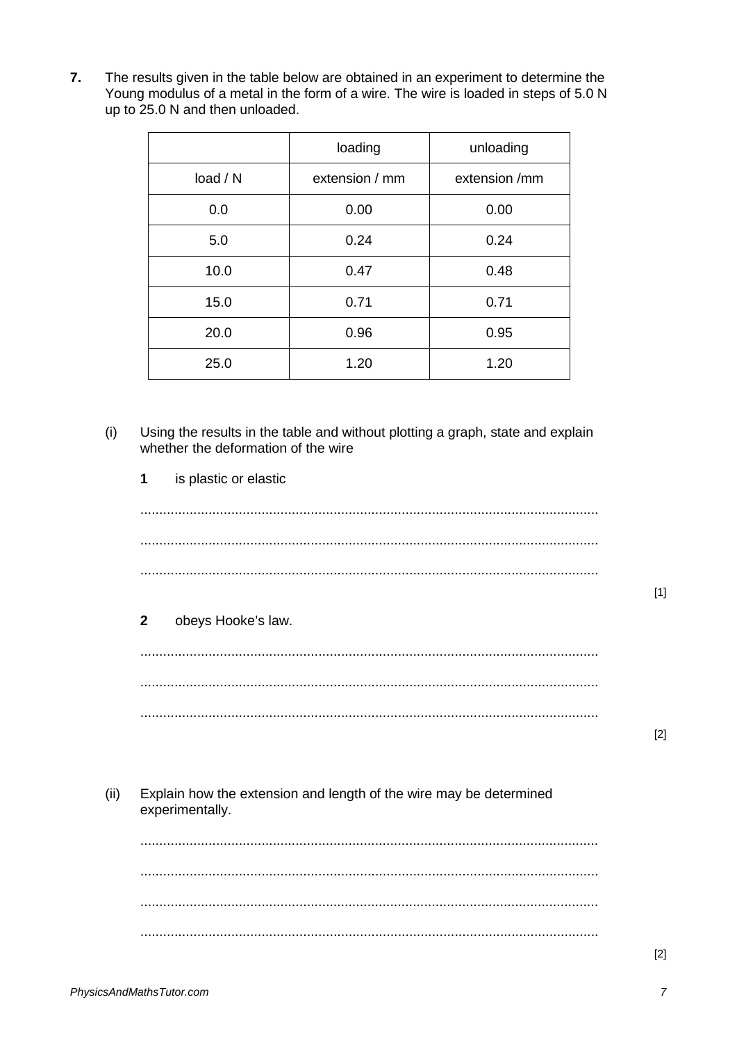$\overline{7}$ . The results given in the table below are obtained in an experiment to determine the Young modulus of a metal in the form of a wire. The wire is loaded in steps of 5.0 N up to 25.0 N and then unloaded.

|          | loading        | unloading     |
|----------|----------------|---------------|
| load / N | extension / mm | extension /mm |
| 0.0      | 0.00           | 0.00          |
| 5.0      | 0.24           | 0.24          |
| 10.0     | 0.47           | 0.48          |
| 15.0     | 0.71           | 0.71          |
| 20.0     | 0.96           | 0.95          |
| 25.0     | 1.20           | 1.20          |

 $(i)$ Using the results in the table and without plotting a graph, state and explain whether the deformation of the wire

 $\overline{1}$ is plastic or elastic

## $\overline{2}$ obeys Hooke's law.

 $[2]$ 

 $[1]$ 

Explain how the extension and length of the wire may be determined  $(ii)$ experimentally.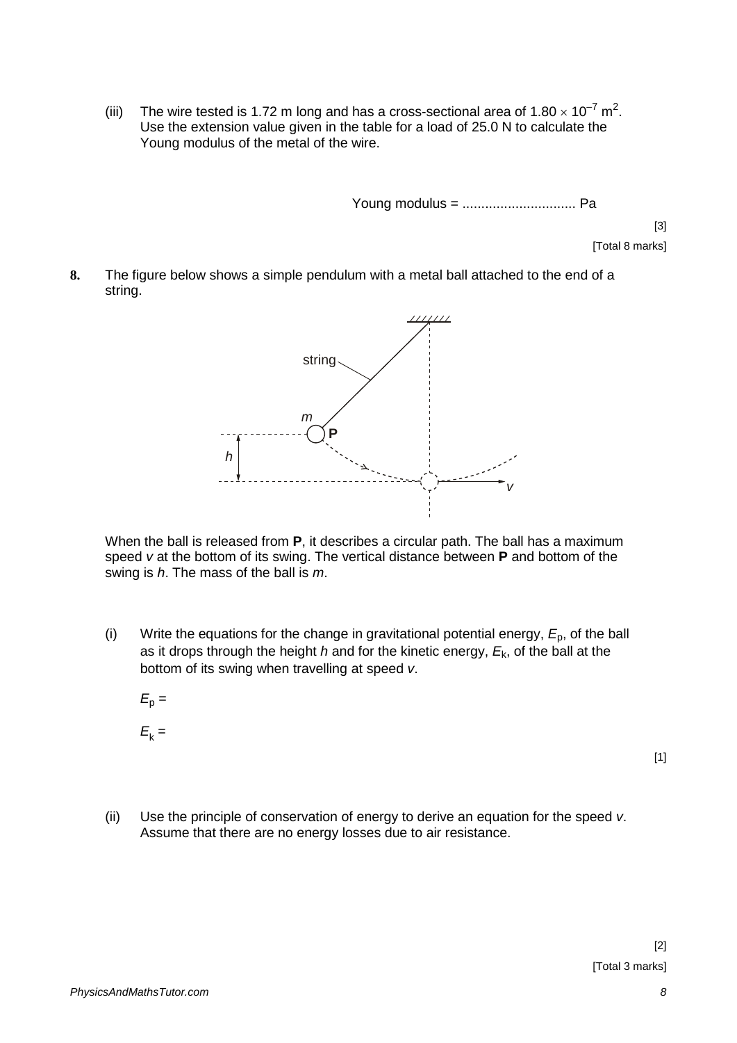(iii) The wire tested is 1.72 m long and has a cross-sectional area of  $1.80 \times 10^{-7}$  m<sup>2</sup>. Use the extension value given in the table for a load of 25.0 N to calculate the Young modulus of the metal of the wire.

Young modulus = .............................. Pa

[3]

- [Total 8 marks]
- **8.** The figure below shows a simple pendulum with a metal ball attached to the end of a string.



When the ball is released from **P**, it describes a circular path. The ball has a maximum speed *v* at the bottom of its swing. The vertical distance between **P** and bottom of the swing is *h*. The mass of the ball is *m*.

- (i) Write the equations for the change in gravitational potential energy,  $E<sub>0</sub>$ , of the ball as it drops through the height *h* and for the kinetic energy, *E*k, of the ball at the bottom of its swing when travelling at speed *v*.
	- $E_p =$  $E_k =$

[1]

(ii) Use the principle of conservation of energy to derive an equation for the speed *v*. Assume that there are no energy losses due to air resistance.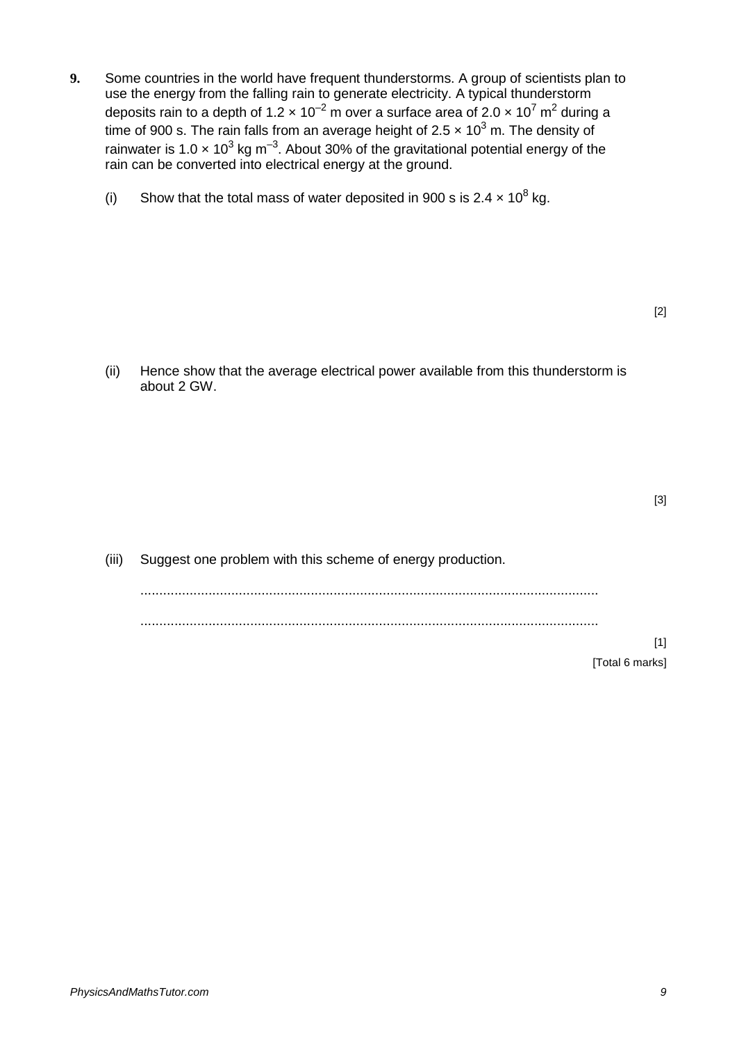- **9.** Some countries in the world have frequent thunderstorms. A group of scientists plan to use the energy from the falling rain to generate electricity. A typical thunderstorm deposits rain to a depth of  $1.2 \times 10^{-2}$  m over a surface area of  $2.0 \times 10^{7}$  m<sup>2</sup> during a time of 900 s. The rain falls from an average height of 2.5 x 10<sup>3</sup> m. The density of rainwater is 1.0  $\times$  10<sup>3</sup> kg m<sup>-3</sup>. About 30% of the gravitational potential energy of the rain can be converted into electrical energy at the ground.
	- (i) Show that the total mass of water deposited in 900 s is  $2.4 \times 10^8$  kg.

(ii) Hence show that the average electrical power available from this thunderstorm is about 2 GW.

[3]

(iii) Suggest one problem with this scheme of energy production. ......................................................................................................................... .........................................................................................................................

> [1] [Total 6 marks]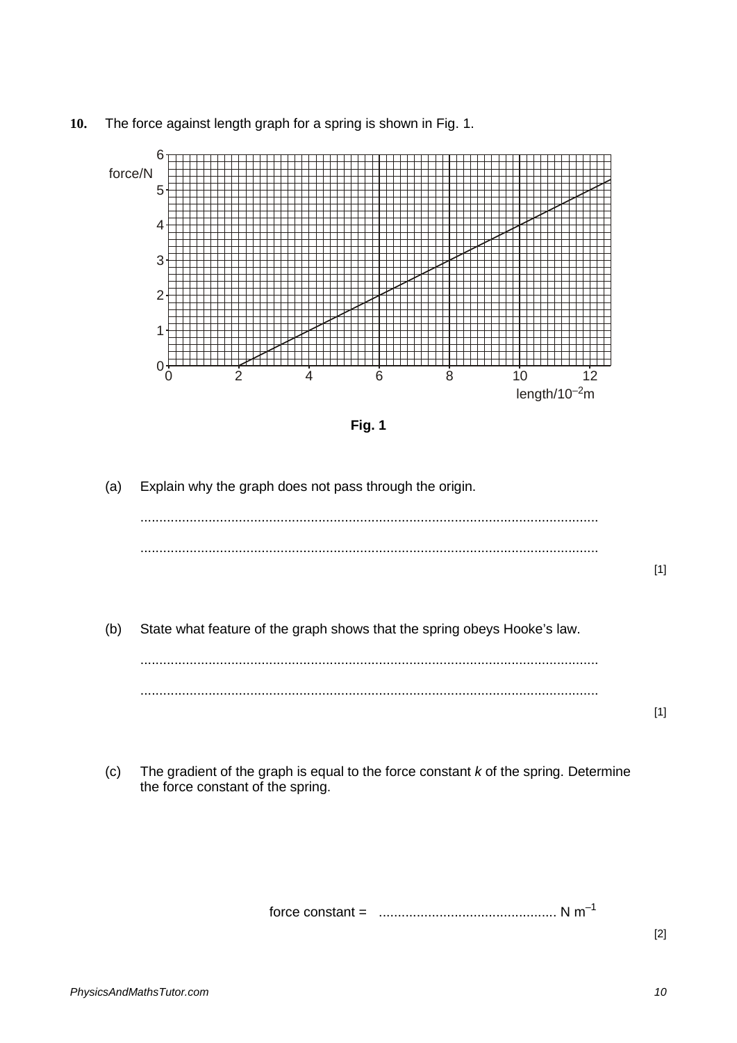**10.** The force against length graph for a spring is shown in Fig. 1.



**Fig. 1**

(a) Explain why the graph does not pass through the origin.

(b) State what feature of the graph shows that the spring obeys Hooke's law.

......................................................................................................................... .........................................................................................................................

(c) The gradient of the graph is equal to the force constant *k* of the spring. Determine the force constant of the spring.

force constant = ............................................... N m–1

[2]

[1]

[1]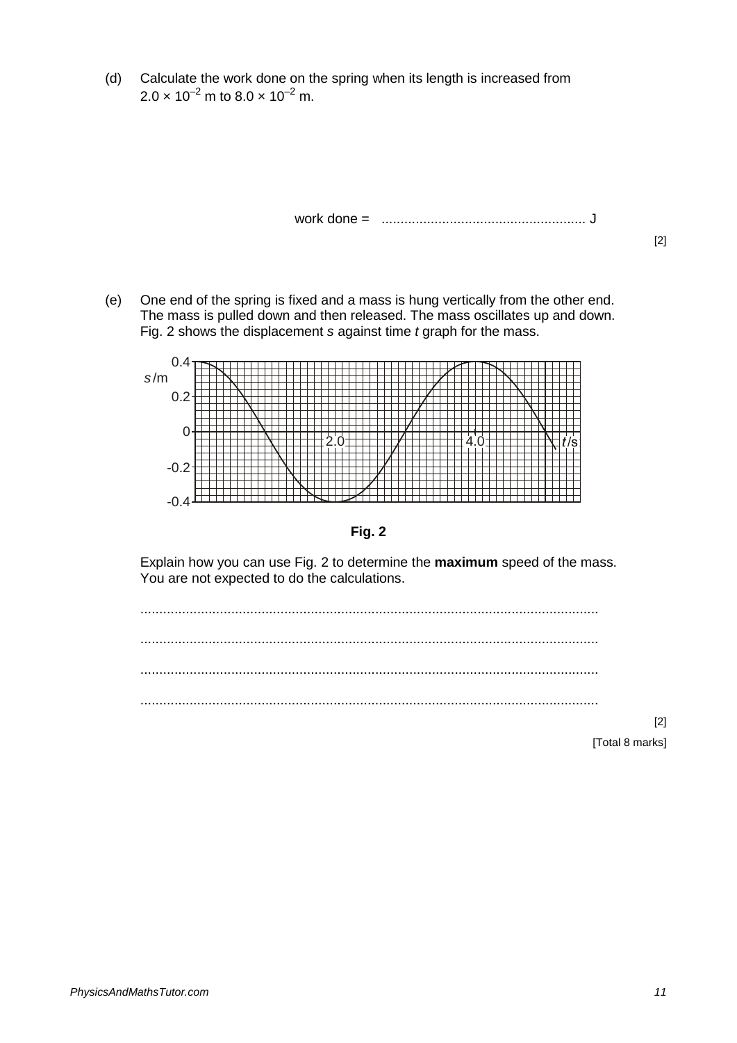(d) Calculate the work done on the spring when its length is increased from  $2.0 \times 10^{-2}$  m to  $8.0 \times 10^{-2}$  m.

work done = ...................................................... J

[2]

(e) One end of the spring is fixed and a mass is hung vertically from the other end. The mass is pulled down and then released. The mass oscillates up and down. Fig. 2 shows the displacement *s* against time *t* graph for the mass.





Explain how you can use Fig. 2 to determine the **maximum** speed of the mass. You are not expected to do the calculations.



[2] [Total 8 marks]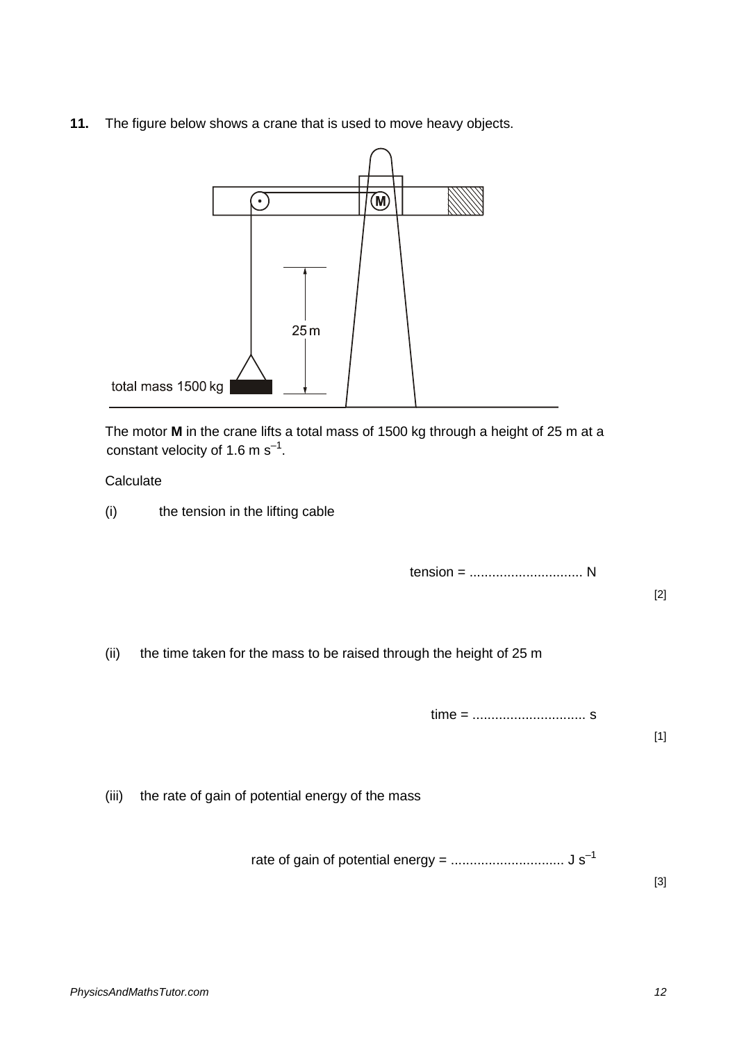**11.** The figure below shows a crane that is used to move heavy objects.